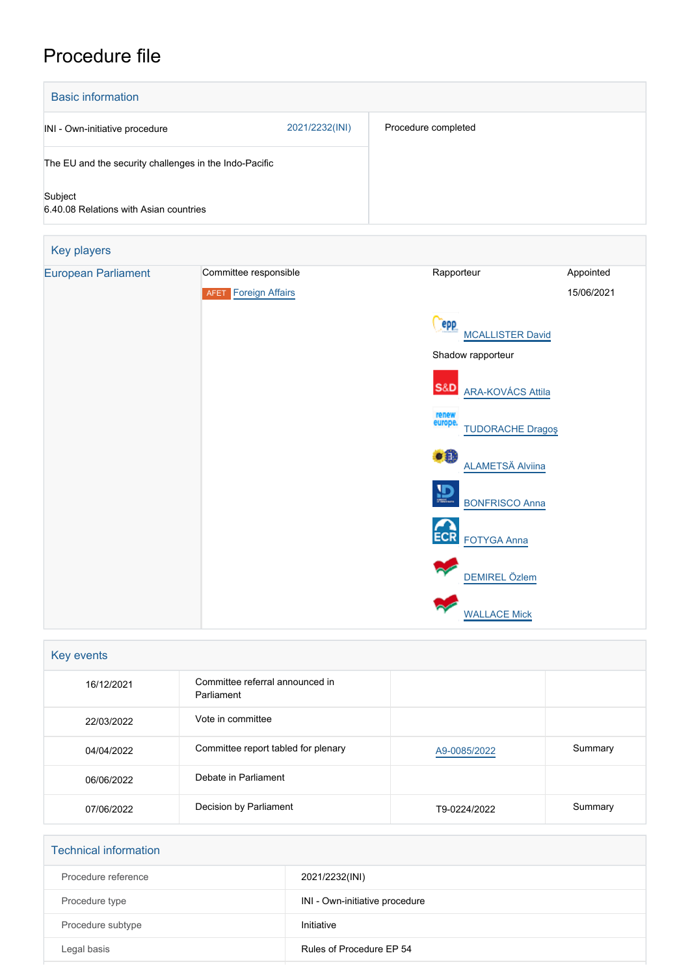# Procedure file

| <b>Basic information</b>                               |                |                     |
|--------------------------------------------------------|----------------|---------------------|
| INI - Own-initiative procedure                         | 2021/2232(INI) | Procedure completed |
| The EU and the security challenges in the Indo-Pacific |                |                     |
| Subject<br>6.40.08 Relations with Asian countries      |                |                     |

| Key players                |                             |                                                   |            |
|----------------------------|-----------------------------|---------------------------------------------------|------------|
| <b>European Parliament</b> | Committee responsible       | Rapporteur                                        | Appointed  |
|                            | <b>AFET</b> Foreign Affairs |                                                   | 15/06/2021 |
|                            |                             | epp<br><b>MCALLISTER David</b>                    |            |
|                            |                             | Shadow rapporteur                                 |            |
|                            |                             | <b>S&amp;D</b><br><b>ARA-KOVÁCS Attila</b>        |            |
|                            |                             | renew<br>europe.<br><b>TUDORACHE Dragos</b>       |            |
|                            |                             | $\bullet$ <sup>0</sup><br><b>ALAMETSÄ Alviina</b> |            |
|                            |                             | 它<br><b>BONFRISCO Anna</b>                        |            |
|                            |                             | <b>ECR</b><br><b>FOTYGA Anna</b>                  |            |
|                            |                             | <b>DEMIREL Özlem</b>                              |            |
|                            |                             | <b>WALLACE Mick</b>                               |            |

| Key events |                                               |              |         |  |
|------------|-----------------------------------------------|--------------|---------|--|
| 16/12/2021 | Committee referral announced in<br>Parliament |              |         |  |
| 22/03/2022 | Vote in committee                             |              |         |  |
| 04/04/2022 | Committee report tabled for plenary           | A9-0085/2022 | Summary |  |
| 06/06/2022 | Debate in Parliament                          |              |         |  |
| 07/06/2022 | Decision by Parliament                        | T9-0224/2022 | Summary |  |

| <b>Technical information</b> |                                |
|------------------------------|--------------------------------|
| Procedure reference          | 2021/2232(INI)                 |
| Procedure type               | INI - Own-initiative procedure |
| Procedure subtype            | Initiative                     |
| Legal basis                  | Rules of Procedure EP 54       |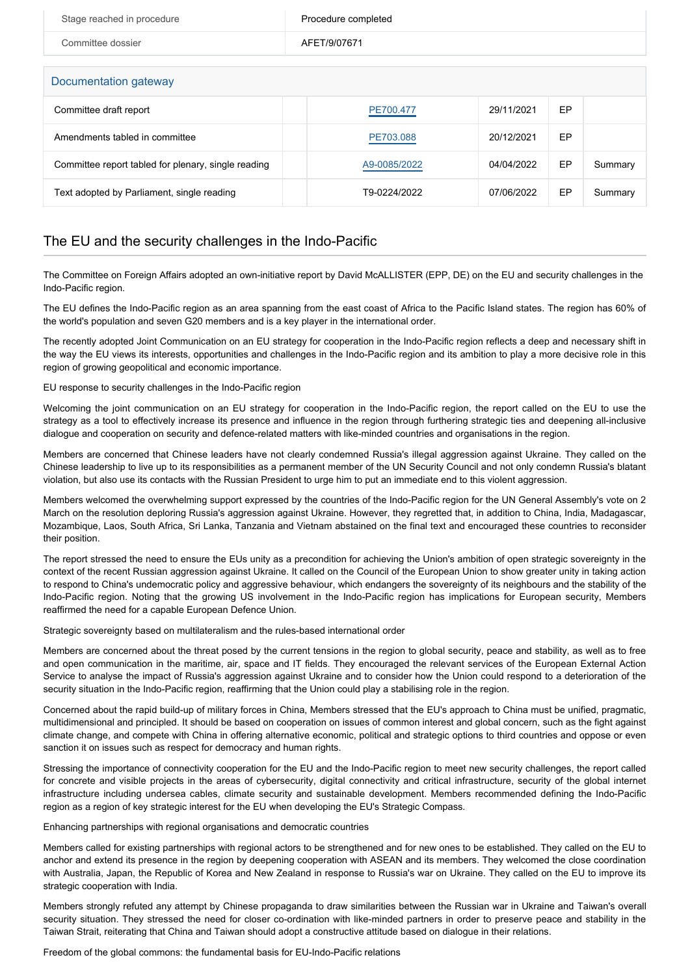| Stage reached in procedure                          | Procedure completed |            |    |         |  |
|-----------------------------------------------------|---------------------|------------|----|---------|--|
| Committee dossier                                   | AFET/9/07671        |            |    |         |  |
| Documentation gateway                               |                     |            |    |         |  |
| Committee draft report                              | PE700.477           | 29/11/2021 | EP |         |  |
| Amendments tabled in committee                      | PE703.088           | 20/12/2021 | EP |         |  |
| Committee report tabled for plenary, single reading | A9-0085/2022        | 04/04/2022 | EP | Summary |  |
| Text adopted by Parliament, single reading          | T9-0224/2022        | 07/06/2022 | EP | Summary |  |

## The EU and the security challenges in the Indo-Pacific

The Committee on Foreign Affairs adopted an own-initiative report by David McALLISTER (EPP, DE) on the EU and security challenges in the Indo-Pacific region.

The EU defines the Indo-Pacific region as an area spanning from the east coast of Africa to the Pacific Island states. The region has 60% of the world's population and seven G20 members and is a key player in the international order.

The recently adopted Joint Communication on an EU strategy for cooperation in the Indo-Pacific region reflects a deep and necessary shift in the way the EU views its interests, opportunities and challenges in the Indo-Pacific region and its ambition to play a more decisive role in this region of growing geopolitical and economic importance.

### EU response to security challenges in the Indo-Pacific region

Welcoming the joint communication on an EU strategy for cooperation in the Indo-Pacific region, the report called on the EU to use the strategy as a tool to effectively increase its presence and influence in the region through furthering strategic ties and deepening all-inclusive dialogue and cooperation on security and defence-related matters with like-minded countries and organisations in the region.

Members are concerned that Chinese leaders have not clearly condemned Russia's illegal aggression against Ukraine. They called on the Chinese leadership to live up to its responsibilities as a permanent member of the UN Security Council and not only condemn Russia's blatant violation, but also use its contacts with the Russian President to urge him to put an immediate end to this violent aggression.

Members welcomed the overwhelming support expressed by the countries of the Indo-Pacific region for the UN General Assembly's vote on 2 March on the resolution deploring Russia's aggression against Ukraine. However, they regretted that, in addition to China, India, Madagascar, Mozambique, Laos, South Africa, Sri Lanka, Tanzania and Vietnam abstained on the final text and encouraged these countries to reconsider their position.

The report stressed the need to ensure the EUs unity as a precondition for achieving the Union's ambition of open strategic sovereignty in the context of the recent Russian aggression against Ukraine. It called on the Council of the European Union to show greater unity in taking action to respond to China's undemocratic policy and aggressive behaviour, which endangers the sovereignty of its neighbours and the stability of the Indo-Pacific region. Noting that the growing US involvement in the Indo-Pacific region has implications for European security, Members reaffirmed the need for a capable European Defence Union.

#### Strategic sovereignty based on multilateralism and the rules-based international order

Members are concerned about the threat posed by the current tensions in the region to global security, peace and stability, as well as to free and open communication in the maritime, air, space and IT fields. They encouraged the relevant services of the European External Action Service to analyse the impact of Russia's aggression against Ukraine and to consider how the Union could respond to a deterioration of the security situation in the Indo-Pacific region, reaffirming that the Union could play a stabilising role in the region.

Concerned about the rapid build-up of military forces in China, Members stressed that the EU's approach to China must be unified, pragmatic, multidimensional and principled. It should be based on cooperation on issues of common interest and global concern, such as the fight against climate change, and compete with China in offering alternative economic, political and strategic options to third countries and oppose or even sanction it on issues such as respect for democracy and human rights.

Stressing the importance of connectivity cooperation for the EU and the Indo-Pacific region to meet new security challenges, the report called for concrete and visible projects in the areas of cybersecurity, digital connectivity and critical infrastructure, security of the global internet infrastructure including undersea cables, climate security and sustainable development. Members recommended defining the Indo-Pacific region as a region of key strategic interest for the EU when developing the EU's Strategic Compass.

#### Enhancing partnerships with regional organisations and democratic countries

Members called for existing partnerships with regional actors to be strengthened and for new ones to be established. They called on the EU to anchor and extend its presence in the region by deepening cooperation with ASEAN and its members. They welcomed the close coordination with Australia, Japan, the Republic of Korea and New Zealand in response to Russia's war on Ukraine. They called on the EU to improve its strategic cooperation with India.

Members strongly refuted any attempt by Chinese propaganda to draw similarities between the Russian war in Ukraine and Taiwan's overall security situation. They stressed the need for closer co-ordination with like-minded partners in order to preserve peace and stability in the Taiwan Strait, reiterating that China and Taiwan should adopt a constructive attitude based on dialogue in their relations.

#### Freedom of the global commons: the fundamental basis for EU-Indo-Pacific relations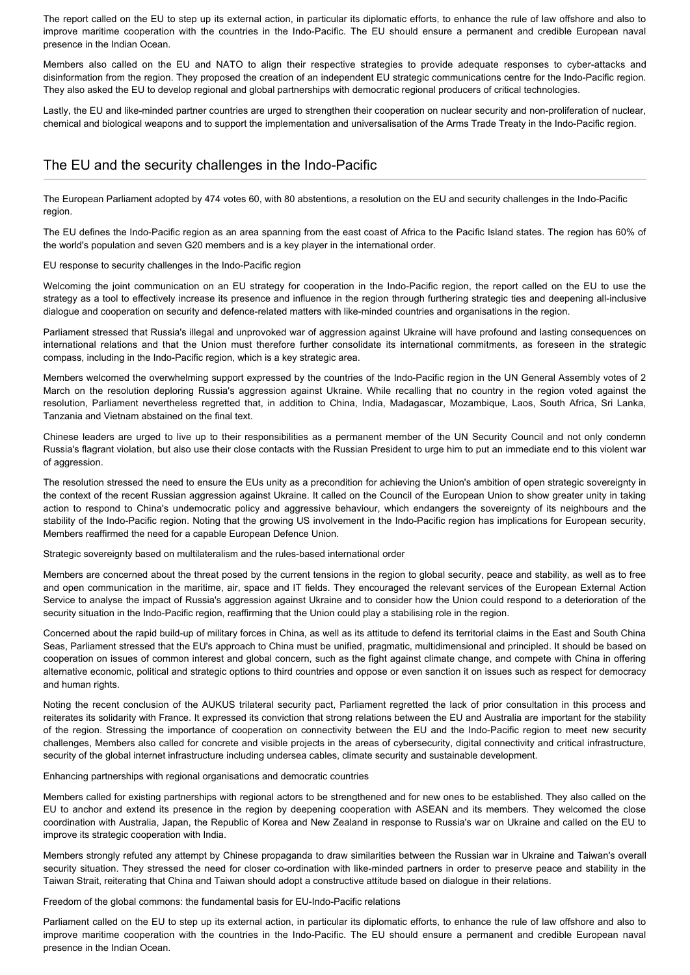The report called on the EU to step up its external action, in particular its diplomatic efforts, to enhance the rule of law offshore and also to improve maritime cooperation with the countries in the Indo-Pacific. The EU should ensure a permanent and credible European naval presence in the Indian Ocean.

Members also called on the EU and NATO to align their respective strategies to provide adequate responses to cyber-attacks and disinformation from the region. They proposed the creation of an independent EU strategic communications centre for the Indo-Pacific region. They also asked the EU to develop regional and global partnerships with democratic regional producers of critical technologies.

Lastly, the EU and like-minded partner countries are urged to strengthen their cooperation on nuclear security and non-proliferation of nuclear, chemical and biological weapons and to support the implementation and universalisation of the Arms Trade Treaty in the Indo-Pacific region.

## The EU and the security challenges in the Indo-Pacific

The European Parliament adopted by 474 votes 60, with 80 abstentions, a resolution on the EU and security challenges in the Indo-Pacific region.

The EU defines the Indo-Pacific region as an area spanning from the east coast of Africa to the Pacific Island states. The region has 60% of the world's population and seven G20 members and is a key player in the international order.

EU response to security challenges in the Indo-Pacific region

Welcoming the joint communication on an EU strategy for cooperation in the Indo-Pacific region, the report called on the EU to use the strategy as a tool to effectively increase its presence and influence in the region through furthering strategic ties and deepening all-inclusive dialogue and cooperation on security and defence-related matters with like-minded countries and organisations in the region.

Parliament stressed that Russia's illegal and unprovoked war of aggression against Ukraine will have profound and lasting consequences on international relations and that the Union must therefore further consolidate its international commitments, as foreseen in the strategic compass, including in the Indo-Pacific region, which is a key strategic area.

Members welcomed the overwhelming support expressed by the countries of the Indo-Pacific region in the UN General Assembly votes of 2 March on the resolution deploring Russia's aggression against Ukraine. While recalling that no country in the region voted against the resolution, Parliament nevertheless regretted that, in addition to China, India, Madagascar, Mozambique, Laos, South Africa, Sri Lanka, Tanzania and Vietnam abstained on the final text.

Chinese leaders are urged to live up to their responsibilities as a permanent member of the UN Security Council and not only condemn Russia's flagrant violation, but also use their close contacts with the Russian President to urge him to put an immediate end to this violent war of aggression.

The resolution stressed the need to ensure the EUs unity as a precondition for achieving the Union's ambition of open strategic sovereignty in the context of the recent Russian aggression against Ukraine. It called on the Council of the European Union to show greater unity in taking action to respond to China's undemocratic policy and aggressive behaviour, which endangers the sovereignty of its neighbours and the stability of the Indo-Pacific region. Noting that the growing US involvement in the Indo-Pacific region has implications for European security, Members reaffirmed the need for a capable European Defence Union.

Strategic sovereignty based on multilateralism and the rules-based international order

Members are concerned about the threat posed by the current tensions in the region to global security, peace and stability, as well as to free and open communication in the maritime, air, space and IT fields. They encouraged the relevant services of the European External Action Service to analyse the impact of Russia's aggression against Ukraine and to consider how the Union could respond to a deterioration of the security situation in the Indo-Pacific region, reaffirming that the Union could play a stabilising role in the region.

Concerned about the rapid build-up of military forces in China, as well as its attitude to defend its territorial claims in the East and South China Seas, Parliament stressed that the EU's approach to China must be unified, pragmatic, multidimensional and principled. It should be based on cooperation on issues of common interest and global concern, such as the fight against climate change, and compete with China in offering alternative economic, political and strategic options to third countries and oppose or even sanction it on issues such as respect for democracy and human rights.

Noting the recent conclusion of the AUKUS trilateral security pact, Parliament regretted the lack of prior consultation in this process and reiterates its solidarity with France. It expressed its conviction that strong relations between the EU and Australia are important for the stability of the region. Stressing the importance of cooperation on connectivity between the EU and the Indo-Pacific region to meet new security challenges, Members also called for concrete and visible projects in the areas of cybersecurity, digital connectivity and critical infrastructure, security of the global internet infrastructure including undersea cables, climate security and sustainable development.

Enhancing partnerships with regional organisations and democratic countries

Members called for existing partnerships with regional actors to be strengthened and for new ones to be established. They also called on the EU to anchor and extend its presence in the region by deepening cooperation with ASEAN and its members. They welcomed the close coordination with Australia, Japan, the Republic of Korea and New Zealand in response to Russia's war on Ukraine and called on the EU to improve its strategic cooperation with India.

Members strongly refuted any attempt by Chinese propaganda to draw similarities between the Russian war in Ukraine and Taiwan's overall security situation. They stressed the need for closer co-ordination with like-minded partners in order to preserve peace and stability in the Taiwan Strait, reiterating that China and Taiwan should adopt a constructive attitude based on dialogue in their relations.

Freedom of the global commons: the fundamental basis for EU-Indo-Pacific relations

Parliament called on the EU to step up its external action, in particular its diplomatic efforts, to enhance the rule of law offshore and also to improve maritime cooperation with the countries in the Indo-Pacific. The EU should ensure a permanent and credible European naval presence in the Indian Ocean.